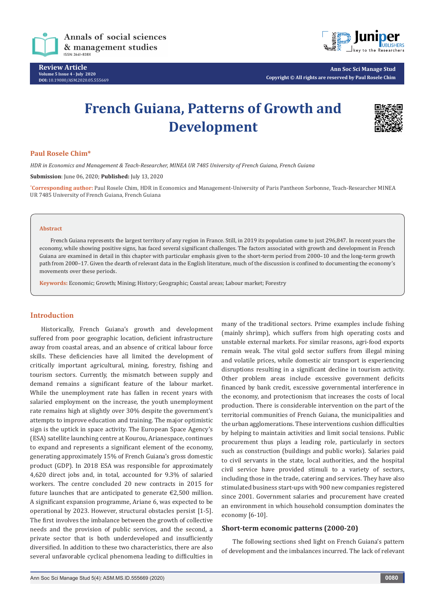

**Review Article Volume 5 Issue 4 - July 2020 DOI:** [10.19080/ASM.2020.05.5556](http://dx.doi.org/10.19080/ASM.2020.05.555669)69



**Ann Soc Sci Manage Stud Copyright © All rights are reserved by Paul Rosele Chim**

# **French Guiana, Patterns of Growth and Development**



## **Paul Rosele Chim\***

*HDR in Economics and Management & Teach-Researcher, MINEA UR 7485 University of French Guiana, French Guiana*

**Submission**: June 06, 2020; **Published:** July 13, 2020

**\* Corresponding author:** Paul Rosele Chim, HDR in Economics and Management-University of Paris Pantheon Sorbonne, Teach-Researcher MINEA UR 7485 University of French Guiana, French Guiana

#### **Abstract**

French Guiana represents the largest territory of any region in France. Still, in 2019 its population came to just 296,847. In recent years the economy, while showing positive signs, has faced several significant challenges. The factors associated with growth and development in French Guiana are examined in detail in this chapter with particular emphasis given to the short-term period from 2000–10 and the long-term growth path from 2000–17. Given the dearth of relevant data in the English literature, much of the discussion is confined to documenting the economy's movements over these periods.

**Keywords:** Economic; Growth; Mining; History; Geographic; Coastal areas; Labour market; Forestry

# **Introduction**

Historically, French Guiana's growth and development suffered from poor geographic location, deficient infrastructure away from coastal areas, and an absence of critical labour force skills. These deficiencies have all limited the development of critically important agricultural, mining, forestry, fishing and tourism sectors. Currently, the mismatch between supply and demand remains a significant feature of the labour market. While the unemployment rate has fallen in recent years with salaried employment on the increase, the youth unemployment rate remains high at slightly over 30% despite the government's attempts to improve education and training. The major optimistic sign is the uptick in space activity. The European Space Agency's (ESA) satellite launching centre at Kourou, Arianespace, continues to expand and represents a significant element of the economy, generating approximately 15% of French Guiana's gross domestic product (GDP). In 2018 ESA was responsible for approximately 4,620 direct jobs and, in total, accounted for 9.3% of salaried workers. The centre concluded 20 new contracts in 2015 for future launches that are anticipated to generate €2,500 million. A significant expansion programme, Ariane 6, was expected to be operational by 2023. However, structural obstacles persist [1-5]. The first involves the imbalance between the growth of collective needs and the provision of public services, and the second, a private sector that is both underdeveloped and insufficiently diversified. In addition to these two characteristics, there are also several unfavorable cyclical phenomena leading to difficulties in

many of the traditional sectors. Prime examples include fishing (mainly shrimp), which suffers from high operating costs and unstable external markets. For similar reasons, agri-food exports remain weak. The vital gold sector suffers from illegal mining and volatile prices, while domestic air transport is experiencing disruptions resulting in a significant decline in tourism activity. Other problem areas include excessive government deficits financed by bank credit, excessive governmental interference in the economy, and protectionism that increases the costs of local production. There is considerable intervention on the part of the territorial communities of French Guiana, the municipalities and the urban agglomerations. These interventions cushion difficulties by helping to maintain activities and limit social tensions. Public procurement thus plays a leading role, particularly in sectors such as construction (buildings and public works). Salaries paid to civil servants in the state, local authorities, and the hospital civil service have provided stimuli to a variety of sectors, including those in the trade, catering and services. They have also stimulated business start-ups with 900 new companies registered since 2001. Government salaries and procurement have created an environment in which household consumption dominates the economy [6-10].

## **Short-term economic patterns (2000-20)**

The following sections shed light on French Guiana's pattern of development and the imbalances incurred. The lack of relevant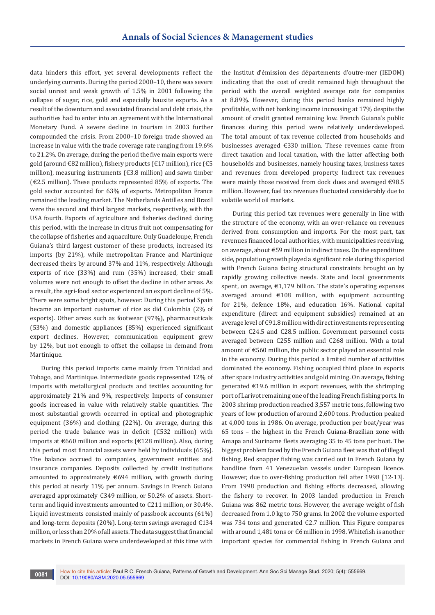data hinders this effort, yet several developments reflect the underlying currents. During the period 2000–10, there was severe social unrest and weak growth of 1.5% in 2001 following the collapse of sugar, rice, gold and especially bauxite exports. As a result of the downturn and associated financial and debt crisis, the authorities had to enter into an agreement with the International Monetary Fund. A severe decline in tourism in 2003 further compounded the crisis. From 2000–10 foreign trade showed an increase in value with the trade coverage rate ranging from 19.6% to 21.2%. On average, during the period the five main exports were gold (around €82 million), fishery products (€17 million), rice (€5 million), measuring instruments (€3.8 million) and sawn timber (€2.5 million). These products represented 85% of exports. The gold sector accounted for 63% of exports. Metropolitan France remained the leading market. The Netherlands Antilles and Brazil were the second and third largest markets, respectively, with the USA fourth. Exports of agriculture and fisheries declined during this period, with the increase in citrus fruit not compensating for the collapse of fisheries and aquaculture. Only Guadeloupe, French Guiana's third largest customer of these products, increased its imports (by 21%), while metropolitan France and Martinique decreased theirs by around 37% and 11%, respectively. Although exports of rice (33%) and rum (35%) increased, their small volumes were not enough to offset the decline in other areas. As a result, the agri-food sector experienced an export decline of 5%. There were some bright spots, however. During this period Spain became an important customer of rice as did Colombia (2% of exports). Other areas such as footwear (97%), pharmaceuticals (53%) and domestic appliances (85%) experienced significant export declines. However, communication equipment grew by 12%, but not enough to offset the collapse in demand from Martinique.

During this period imports came mainly from Trinidad and Tobago, and Martinique. Intermediate goods represented 12% of imports with metallurgical products and textiles accounting for approximately 21% and 9%, respectively. Imports of consumer goods increased in value with relatively stable quantities. The most substantial growth occurred in optical and photographic equipment (36%) and clothing (22%). On average, during this period the trade balance was in deficit (€532 million) with imports at €660 million and exports (€128 million). Also, during this period most financial assets were held by individuals (65%). The balance accrued to companies, government entities and insurance companies. Deposits collected by credit institutions amounted to approximately  $\epsilon$ 694 million, with growth during this period at nearly 11% per annum. Savings in French Guiana averaged approximately €349 million, or 50.2% of assets. Shortterm and liquid investments amounted to €211 million, or 30.4%. Liquid investments consisted mainly of passbook accounts (61%) and long-term deposits (20%). Long-term savings averaged €134 million, or less than 20% of all assets. The data suggest that financial markets in French Guiana were underdeveloped at this time with

the Institut d'émission des départements d'outre-mer (IEDOM) indicating that the cost of credit remained high throughout the period with the overall weighted average rate for companies at 8.89%. However, during this period banks remained highly profitable, with net banking income increasing at 17% despite the amount of credit granted remaining low. French Guiana's public finances during this period were relatively underdeveloped. The total amount of tax revenue collected from households and businesses averaged €330 million. These revenues came from direct taxation and local taxation, with the latter affecting both households and businesses, namely housing taxes, business taxes and revenues from developed property. Indirect tax revenues were mainly those received from dock dues and averaged €98.5 million. However, fuel tax revenues fluctuated considerably due to volatile world oil markets.

During this period tax revenues were generally in line with the structure of the economy, with an over-reliance on revenues derived from consumption and imports. For the most part, tax revenues financed local authorities, with municipalities receiving, on average, about €59 million in indirect taxes. On the expenditure side, population growth played a significant role during this period with French Guiana facing structural constraints brought on by rapidly growing collective needs. State and local governments spent, on average, €1,179 billion. The state's operating expenses averaged around €108 million, with equipment accounting for 21%, defence 18%, and education 16%. National capital expenditure (direct and equipment subsidies) remained at an average level of €91.8 million with direct investments representing between €24.5 and €28.5 million. Government personnel costs averaged between €255 million and €268 million. With a total amount of €560 million, the public sector played an essential role in the economy. During this period a limited number of activities dominated the economy. Fishing occupied third place in exports after space industry activities and gold mining. On average, fishing generated €19.6 million in export revenues, with the shrimping port of Larivot remaining one of the leading French fishing ports. In 2003 shrimp production reached 3,557 metric tons, following two years of low production of around 2,600 tons. Production peaked at 4,000 tons in 1986. On average, production per boat/year was 65 tons – the highest in the French Guiana-Brazilian zone with Amapa and Suriname fleets averaging 35 to 45 tons per boat. The biggest problem faced by the French Guiana fleet was that of illegal fishing. Red snapper fishing was carried out in French Guiana by handline from 41 Venezuelan vessels under European licence. However, due to over-fishing production fell after 1998 [12-13]. From 1998 production and fishing efforts decreased, allowing the fishery to recover. In 2003 landed production in French Guiana was 862 metric tons. However, the average weight of fish decreased from 1.0 kg to 750 grams. In 2002 the volume exported was 734 tons and generated €2.7 million. This Figure compares with around 1,481 tons or €6 million in 1998. Whitefish is another important species for commercial fishing in French Guiana and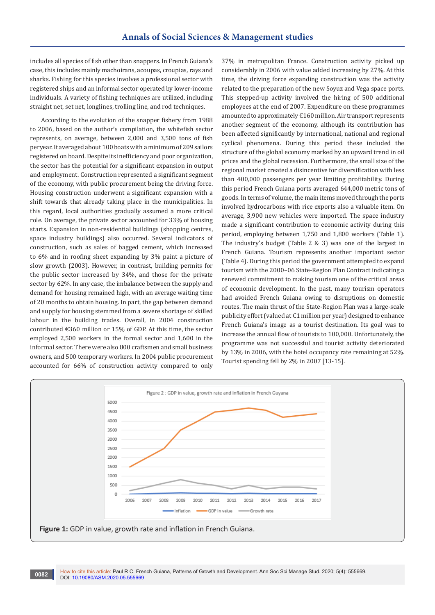includes all species of fish other than snappers. In French Guiana's case, this includes mainly machoirans, acoupas, croupias, rays and sharks. Fishing for this species involves a professional sector with registered ships and an informal sector operated by lower-income individuals. A variety of fishing techniques are utilized, including straight net, set net, longlines, trolling line, and rod techniques.

According to the evolution of the snapper fishery from 1988 to 2006, based on the author's compilation, the whitefish sector represents, on average, between 2,000 and 3,500 tons of fish peryear. It averaged about 100 boats with a minimum of 209 sailors registered on board. Despite its inefficiency and poor organization, the sector has the potential for a significant expansion in output and employment. Construction represented a significant segment of the economy, with public procurement being the driving force. Housing construction underwent a significant expansion with a shift towards that already taking place in the municipalities. In this regard, local authorities gradually assumed a more critical role. On average, the private sector accounted for 33% of housing starts. Expansion in non-residential buildings (shopping centres, space industry buildings) also occurred. Several indicators of construction, such as sales of bagged cement, which increased to 6% and in roofing sheet expanding by 3% paint a picture of slow growth (2003). However, in contrast, building permits for the public sector increased by 34%, and those for the private sector by 62%. In any case, the imbalance between the supply and demand for housing remained high, with an average waiting time of 20 months to obtain housing. In part, the gap between demand and supply for housing stemmed from a severe shortage of skilled labour in the building trades. Overall, in 2004 construction contributed €360 million or 15% of GDP. At this time, the sector employed 2,500 workers in the formal sector and 1,600 in the informal sector. There were also 800 craftsmen and small business owners, and 500 temporary workers. In 2004 public procurement accounted for 66% of construction activity compared to only

37% in metropolitan France. Construction activity picked up considerably in 2006 with value added increasing by 27%. At this time, the driving force expanding construction was the activity related to the preparation of the new Soyuz and Vega space ports. This stepped-up activity involved the hiring of 500 additional employees at the end of 2007. Expenditure on these programmes amounted to approximately €160 million. Air transport represents another segment of the economy, although its contribution has been affected significantly by international, national and regional cyclical phenomena. During this period these included the structure of the global economy marked by an upward trend in oil prices and the global recession. Furthermore, the small size of the regional market created a disincentive for diversification with less than 400,000 passengers per year limiting profitability. During this period French Guiana ports averaged 644,000 metric tons of goods. In terms of volume, the main items moved through the ports involved hydrocarbons with rice exports also a valuable item. On average, 3,900 new vehicles were imported. The space industry made a significant contribution to economic activity during this period, employing between 1,750 and 1,800 workers (Table 1). The industry's budget (Table 2 & 3) was one of the largest in French Guiana. Tourism represents another important sector (Table 4). During this period the government attempted to expand tourism with the 2000–06 State-Region Plan Contract indicating a renewed commitment to making tourism one of the critical areas of economic development. In the past, many tourism operators had avoided French Guiana owing to disruptions on domestic routes. The main thrust of the State-Region Plan was a large-scale publicity effort (valued at €1 million per year) designed to enhance French Guiana's image as a tourist destination. Its goal was to increase the annual flow of tourists to 100,000. Unfortunately, the programme was not successful and tourist activity deteriorated by 13% in 2006, with the hotel occupancy rate remaining at 52%. Tourist spending fell by 2% in 2007 [13-15].

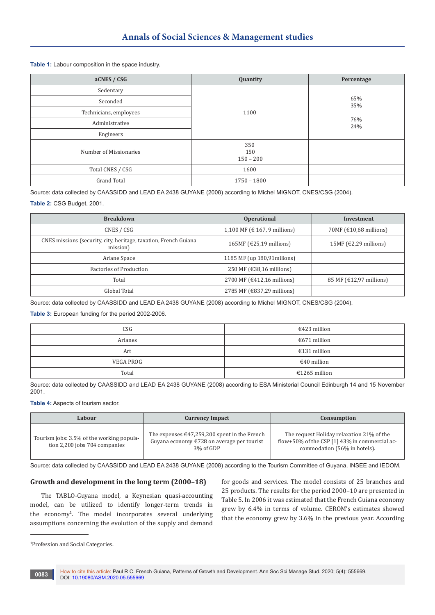#### **Table 1:** Labour composition in the space industry.

| aCNES / CSG            | Quantity                  | Percentage |
|------------------------|---------------------------|------------|
| Sedentary              |                           |            |
| Seconded               |                           | 65%<br>35% |
| Technicians, employees | 1100                      |            |
| Administrative         |                           | 76%<br>24% |
| Engineers              |                           |            |
| Number of Missionaries | 350<br>150<br>$150 - 200$ |            |
| Total CNES / CSG       | 1600                      |            |
| <b>Grand Total</b>     | $1750 - 1800$             |            |

Source: data collected by CAASSIDD and LEAD EA 2438 GUYANE (2008) according to Michel MIGNOT, CNES/CSG (2004).

# **Table 2:** CSG Budget, 2001.

| <b>Breakdown</b>                                                             | <b>Operational</b>           | <b>Investment</b>                                   |  |
|------------------------------------------------------------------------------|------------------------------|-----------------------------------------------------|--|
| CNES / CSG                                                                   | 1,100 MF (€ 167, 9 millions) | 70MF $(\text{\textsterling}10,68 \text{ millions})$ |  |
| CNES missions (security, city, heritage, taxation, French Guiana<br>mission) | 165MF ( $E$ 25,19 millions)  | 15MF $(€2,29$ millions)                             |  |
| Ariane Space                                                                 | 1185 MF (up 180,91 milions)  |                                                     |  |
| Factories of Production                                                      | 250 MF (€38,16 millions)     |                                                     |  |
| Total                                                                        | 2700 MF (€412,16 millions)   | 85 MF $(£12,97$ millions)                           |  |
| Global Total                                                                 | 2785 MF (€837,29 millions)   |                                                     |  |

Source: data collected by CAASSIDD and LEAD EA 2438 GUYANE (2008) according to Michel MIGNOT, CNES/CSG (2004).

**Table 3:** European funding for the period 2002-2006.

| CSG       | €423 million  |  |
|-----------|---------------|--|
| Arianes   | €671 million  |  |
| Art       | €131 million  |  |
| VEGA PROG | €40 million   |  |
| Total     | €1265 million |  |

Source: data collected by CAASSIDD and LEAD EA 2438 GUYANE (2008) according to ESA Ministerial Council Edinburgh 14 and 15 November 2001.

#### **Table 4:** Aspects of tourism sector.

| Labour                                                                     | <b>Currency Impact</b>                                                                                                                 | Consumption                                                                                                                |  |  |
|----------------------------------------------------------------------------|----------------------------------------------------------------------------------------------------------------------------------------|----------------------------------------------------------------------------------------------------------------------------|--|--|
| Tourism jobs: 3.5% of the working popula-<br>tion 2,200 jobs 704 companies | The expenses $\text{\textsterling}47,259,200$ spent in the French<br>Guyana economy $\epsilon$ 728 on average per tourist<br>3% of GDP | The request Holiday relaxation 21% of the<br>flow+50% of the CSP [1] 43% in commercial ac-<br>commodation (56% in hotels). |  |  |

Source: data collected by CAASSIDD and LEAD EA 2438 GUYANE (2008) according to the Tourism Committee of Guyana, INSEE and IEDOM.

## **Growth and development in the long term (2000–18)**

The TABLO-Guyana model, a Keynesian quasi-accounting model, can be utilized to identify longer-term trends in the economy1 . The model incorporates several underlying assumptions concerning the evolution of the supply and demand

for goods and services. The model consists of 25 branches and 25 products. The results for the period 2000–10 are presented in Table 5. In 2006 it was estimated that the French Guiana economy grew by 6.4% in terms of volume. CEROM's estimates showed that the economy grew by 3.6% in the previous year. According

<sup>1</sup> Profession and Social Categories.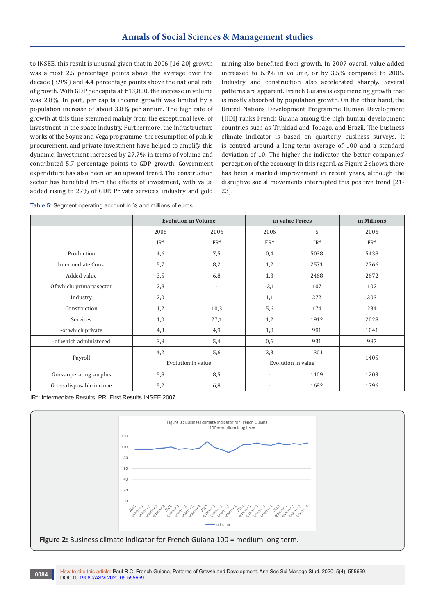to INSEE, this result is unusual given that in 2006 [16-20] growth was almost 2.5 percentage points above the average over the decade (3.9%) and 4.4 percentage points above the national rate of growth. With GDP per capita at €13,800, the increase in volume was 2.8%. In part, per capita income growth was limited by a population increase of about 3.8% per annum. The high rate of growth at this time stemmed mainly from the exceptional level of investment in the space industry. Furthermore, the infrastructure works of the Soyuz and Vega programme, the resumption of public procurement, and private investment have helped to amplify this dynamic. Investment increased by 27.7% in terms of volume and contributed 5.7 percentage points to GDP growth. Government expenditure has also been on an upward trend. The construction sector has benefited from the effects of investment, with value added rising to 27% of GDP. Private services, industry and gold mining also benefited from growth. In 2007 overall value added increased to 6.8% in volume, or by 3.5% compared to 2005. Industry and construction also accelerated sharply. Several patterns are apparent. French Guiana is experiencing growth that is mostly absorbed by population growth. On the other hand, the United Nations Development Programme Human Development (HDI) ranks French Guiana among the high human development countries such as Trinidad and Tobago, and Brazil. The business climate indicator is based on quarterly business surveys. It is centred around a long-term average of 100 and a standard deviation of 10. The higher the indicator, the better companies' perception of the economy. In this regard, as Figure 2 shows, there has been a marked improvement in recent years, although the disruptive social movements interrupted this positive trend [21- 23].

**Table 5:** Segment operating account in % and millions of euros.

|                          | <b>Evolution in Volume</b> |                          | in value Prices          |        | in Millions |
|--------------------------|----------------------------|--------------------------|--------------------------|--------|-------------|
|                          | 2005                       | 2006                     | 2006                     | 5      | 2006        |
|                          | $IR^*$                     | $FR*$                    | $FR*$                    | $IR^*$ | $FR*$       |
| Production               | 4,6                        | 7,5                      | 0,4                      | 5038   | 5438        |
| Intermediate Cons.       | 5,7                        | 8,2                      | 1,2                      | 2571   | 2766        |
| Added value              | 3,5                        | 6,8                      | 1,3                      | 2468   | 2672        |
| Of which: primary sector | 2,8                        | $\overline{\phantom{a}}$ | $-3,1$                   | 107    | 102         |
| Industry                 | 2,0                        |                          | 1,1                      | 272    | 303         |
| Construction             | 1,2                        | 10,3                     | 5,6                      | 174    | 234         |
| Services                 | 1,0                        | 27,1                     | 1,2                      | 1912   | 2028        |
| -of which private        | 4,3                        | 4,9                      | 1,8                      | 981    | 1041        |
| -of which administered   | 3,8                        | 5,4                      | 0,6                      | 931    | 987         |
| Payroll                  | 4,2                        | 5,6                      | 2,3                      | 1301   |             |
|                          | Evolution in value         |                          | Evolution in value       |        | 1405        |
| Gross operating surplus  | 5,8                        | 8,5                      | $\overline{\phantom{a}}$ | 1109   | 1203        |
| Gross disposable income  | 5,2                        | 6,8                      |                          | 1682   | 1796        |

IR\*: Intermediate Results, PR: First Results INSEE 2007.



How to cite this article: Paul R C. French Guiana, Patterns of Growth and Development. Ann Soc Sci Manage Stud. 2020; 5(4): 555669. **0084 DOI: [10.19080/ASM.2020.05.5556](http://dx.doi.org/10.19080/ASM.2020.05.555669)69**